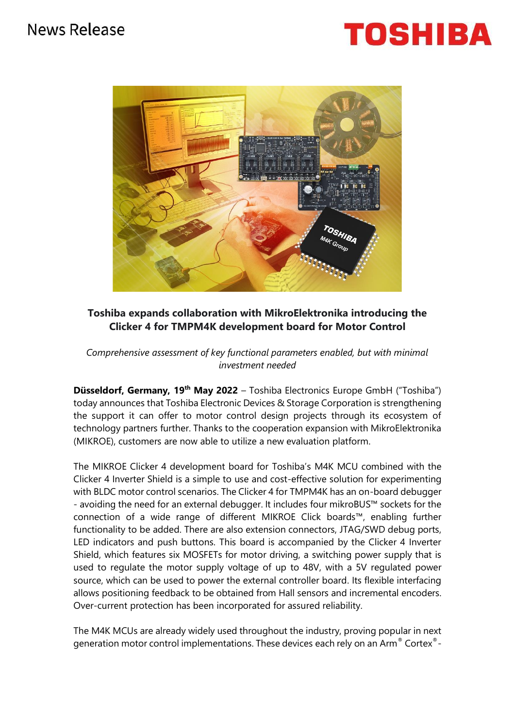# News Release





## **Toshiba expands collaboration with MikroElektronika introducing the Clicker 4 for TMPM4K development board for Motor Control**

*Comprehensive assessment of key functional parameters enabled, but with minimal investment needed* 

**Düsseldorf, Germany, 19<sup>th</sup> May 2022** – Toshiba Electronics Europe GmbH ("Toshiba") today announces that Toshiba Electronic Devices & Storage Corporation is strengthening the support it can offer to motor control design projects through its ecosystem of technology partners further. Thanks to the cooperation expansion with MikroElektronika (MIKROE), customers are now able to utilize a new evaluation platform.

The MIKROE Clicker 4 development board for Toshiba's M4K MCU combined with the Clicker 4 Inverter Shield is a simple to use and cost-effective solution for experimenting with BLDC motor control scenarios. The Clicker 4 for TMPM4K has an on-board debugger - avoiding the need for an external debugger. It includes four mikroBUS™ sockets for the connection of a wide range of different MIKROE Click boards™, enabling further functionality to be added. There are also extension connectors, JTAG/SWD debug ports, LED indicators and push buttons. This board is accompanied by the Clicker 4 Inverter Shield, which features six MOSFETs for motor driving, a switching power supply that is used to regulate the motor supply voltage of up to 48V, with a 5V regulated power source, which can be used to power the external controller board. Its flexible interfacing allows positioning feedback to be obtained from Hall sensors and incremental encoders. Over-current protection has been incorporated for assured reliability.

The M4K MCUs are already widely used throughout the industry, proving popular in next generation motor control implementations. These devices each rely on an Arm® Cortex®-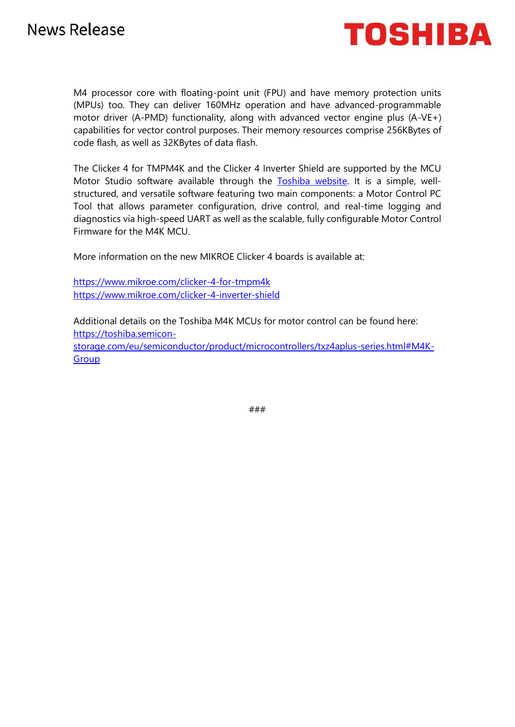

M4 processor core with floating-point unit (FPU) and have memory protection units (MPUs) too. They can deliver 160MHz operation and have advanced-programmable motor driver (A-PMD) functionality, along with advanced vector engine plus (A-VE+) capabilities for vector control purposes. Their memory resources comprise 256KBytes of code flash, as well as 32KBytes of data flash.

The Clicker 4 for TMPM4K and the Clicker 4 Inverter Shield are supported by the MCU Motor Studio software available through the [Toshiba website.](https://toshiba.semicon-storage.com/eu/semiconductor/product/microcontrollers/software-library/txzplus-m4k-group.html#2) It is a simple, wellstructured, and versatile software featuring two main components: a Motor Control PC Tool that allows parameter configuration, drive control, and real-time logging and diagnostics via high-speed UART as well as the scalable, fully configurable Motor Control Firmware for the M4K MCU.

More information on the new MIKROE Clicker 4 boards is available at:

<https://www.mikroe.com/clicker-4-for-tmpm4k> <https://www.mikroe.com/clicker-4-inverter-shield>

Additional details on the Toshiba M4K MCUs for motor control can be found here: [https://toshiba.semicon](https://toshiba.semicon-storage.com/eu/semiconductor/product/microcontrollers/txz4aplus-series.html#M4K-Group)[storage.com/eu/semiconductor/product/microcontrollers/txz4aplus-series.html#M4K-](https://toshiba.semicon-storage.com/eu/semiconductor/product/microcontrollers/txz4aplus-series.html#M4K-Group)**[Group](https://toshiba.semicon-storage.com/eu/semiconductor/product/microcontrollers/txz4aplus-series.html#M4K-Group)** 

###